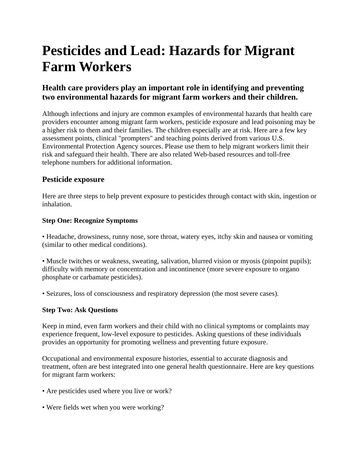# **Pesticides and Lead: Hazards for Migrant Farm Workers**

# **Health care providers play an important role in identifying and preventing two environmental hazards for migrant farm workers and their children.**

Although infections and injury are common examples of environmental hazards that health care providers encounter among migrant farm workers, pesticide exposure and lead poisoning may be a higher risk to them and their families. The children especially are at risk. Here are a few key assessment points, clinical "prompters" and teaching points derived from various U.S. Environmental Protection Agency sources. Please use them to help migrant workers limit their risk and safeguard their health. There are also related Web-based resources and toll-free telephone numbers for additional information.

#### **Pesticide exposure**

Here are three steps to help prevent exposure to pesticides through contact with skin, ingestion or inhalation.

#### **Step One: Recognize Symptoms**

• Headache, drowsiness, runny nose, sore throat, watery eyes, itchy skin and nausea or vomiting (similar to other medical conditions).

• Muscle twitches or weakness, sweating, salivation, blurred vision or myosis (pinpoint pupils); difficulty with memory or concentration and incontinence (more severe exposure to organo phosphate or carbamate pesticides).

• Seizures, loss of consciousness and respiratory depression (the most severe cases).

#### **Step Two: Ask Questions**

Keep in mind, even farm workers and their child with no clinical symptoms or complaints may experience frequent, low-level exposure to pesticides. Asking questions of these individuals provides an opportunity for promoting wellness and preventing future exposure.

Occupational and environmental exposure histories, essential to accurate diagnosis and treatment, often are best integrated into one general health questionnaire. Here are key questions for migrant farm workers:

- Are pesticides used where you live or work?
- Were fields wet when you were working?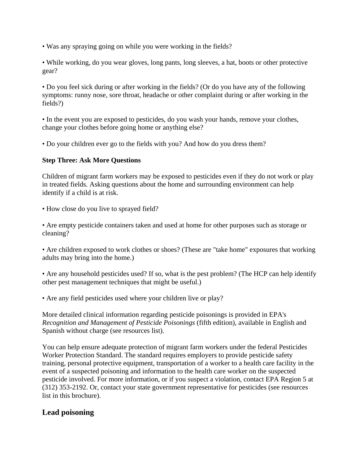- Was any spraying going on while you were working in the fields?
- While working, do you wear gloves, long pants, long sleeves, a hat, boots or other protective gear?

• Do you feel sick during or after working in the fields? (Or do you have any of the following symptoms: runny nose, sore throat, headache or other complaint during or after working in the fields?)

• In the event you are exposed to pesticides, do you wash your hands, remove your clothes, change your clothes before going home or anything else?

• Do your children ever go to the fields with you? And how do you dress them?

#### **Step Three: Ask More Questions**

Children of migrant farm workers may be exposed to pesticides even if they do not work or play in treated fields. Asking questions about the home and surrounding environment can help identify if a child is at risk.

• How close do you live to sprayed field?

• Are empty pesticide containers taken and used at home for other purposes such as storage or cleaning?

• Are children exposed to work clothes or shoes? (These are "take home" exposures that working adults may bring into the home.)

• Are any household pesticides used? If so, what is the pest problem? (The HCP can help identify other pest management techniques that might be useful.)

• Are any field pesticides used where your children live or play?

More detailed clinical information regarding pesticide poisonings is provided in EPA's *Recognition and Management of Pesticide Poisonings* (fifth edition), available in English and Spanish without charge (see resources list).

You can help ensure adequate protection of migrant farm workers under the federal Pesticides Worker Protection Standard. The standard requires employers to provide pesticide safety training, personal protective equipment, transportation of a worker to a health care facility in the event of a suspected poisoning and information to the health care worker on the suspected pesticide involved. For more information, or if you suspect a violation, contact EPA Region 5 at (312) 353-2192. Or, contact your state government representative for pesticides (see resources list in this brochure).

# **Lead poisoning**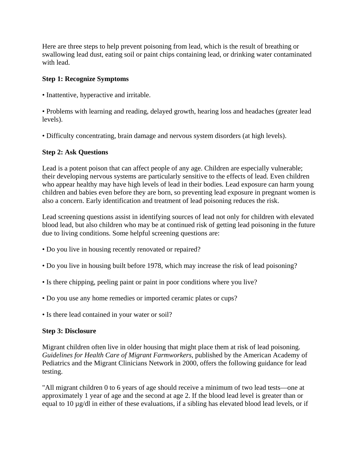Here are three steps to help prevent poisoning from lead, which is the result of breathing or swallowing lead dust, eating soil or paint chips containing lead, or drinking water contaminated with lead.

#### **Step 1: Recognize Symptoms**

• Inattentive, hyperactive and irritable.

• Problems with learning and reading, delayed growth, hearing loss and headaches (greater lead levels).

• Difficulty concentrating, brain damage and nervous system disorders (at high levels).

#### **Step 2: Ask Questions**

Lead is a potent poison that can affect people of any age. Children are especially vulnerable; their developing nervous systems are particularly sensitive to the effects of lead. Even children who appear healthy may have high levels of lead in their bodies. Lead exposure can harm young children and babies even before they are born, so preventing lead exposure in pregnant women is also a concern. Early identification and treatment of lead poisoning reduces the risk.

Lead screening questions assist in identifying sources of lead not only for children with elevated blood lead, but also children who may be at continued risk of getting lead poisoning in the future due to living conditions. Some helpful screening questions are:

- Do you live in housing recently renovated or repaired?
- Do you live in housing built before 1978, which may increase the risk of lead poisoning?
- Is there chipping, peeling paint or paint in poor conditions where you live?
- Do you use any home remedies or imported ceramic plates or cups?
- Is there lead contained in your water or soil?

#### **Step 3: Disclosure**

Migrant children often live in older housing that might place them at risk of lead poisoning. *Guidelines for Health Care of Migrant Farmworkers*, published by the American Academy of Pediatrics and the Migrant Clinicians Network in 2000, offers the following guidance for lead testing.

"All migrant children 0 to 6 years of age should receive a minimum of two lead tests—one at approximately 1 year of age and the second at age 2. If the blood lead level is greater than or equal to 10 µg/dl in either of these evaluations, if a sibling has elevated blood lead levels, or if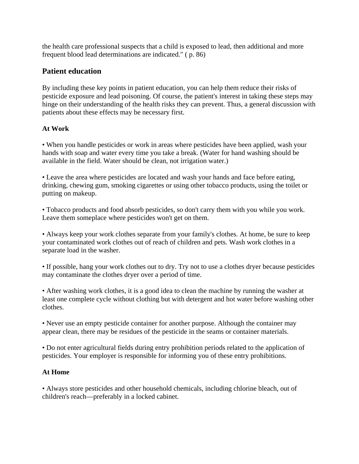the health care professional suspects that a child is exposed to lead, then additional and more frequent blood lead determinations are indicated." ( p. 86)

## **Patient education**

By including these key points in patient education, you can help them reduce their risks of pesticide exposure and lead poisoning. Of course, the patient's interest in taking these steps may hinge on their understanding of the health risks they can prevent. Thus, a general discussion with patients about these effects may be necessary first.

#### **At Work**

• When you handle pesticides or work in areas where pesticides have been applied, wash your hands with soap and water every time you take a break. (Water for hand washing should be available in the field. Water should be clean, not irrigation water.)

• Leave the area where pesticides are located and wash your hands and face before eating, drinking, chewing gum, smoking cigarettes or using other tobacco products, using the toilet or putting on makeup.

• Tobacco products and food absorb pesticides, so don't carry them with you while you work. Leave them someplace where pesticides won't get on them.

• Always keep your work clothes separate from your family's clothes. At home, be sure to keep your contaminated work clothes out of reach of children and pets. Wash work clothes in a separate load in the washer.

• If possible, hang your work clothes out to dry. Try not to use a clothes dryer because pesticides may contaminate the clothes dryer over a period of time.

• After washing work clothes, it is a good idea to clean the machine by running the washer at least one complete cycle without clothing but with detergent and hot water before washing other clothes.

• Never use an empty pesticide container for another purpose. Although the container may appear clean, there may be residues of the pesticide in the seams or container materials.

• Do not enter agricultural fields during entry prohibition periods related to the application of pesticides. Your employer is responsible for informing you of these entry prohibitions.

#### **At Home**

• Always store pesticides and other household chemicals, including chlorine bleach, out of children's reach—preferably in a locked cabinet.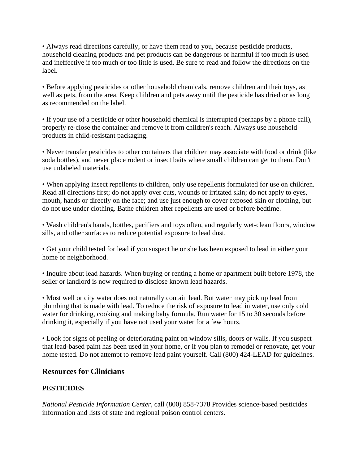• Always read directions carefully, or have them read to you, because pesticide products, household cleaning products and pet products can be dangerous or harmful if too much is used and ineffective if too much or too little is used. Be sure to read and follow the directions on the label.

• Before applying pesticides or other household chemicals, remove children and their toys, as well as pets, from the area. Keep children and pets away until the pesticide has dried or as long as recommended on the label.

• If your use of a pesticide or other household chemical is interrupted (perhaps by a phone call), properly re-close the container and remove it from children's reach. Always use household products in child-resistant packaging.

• Never transfer pesticides to other containers that children may associate with food or drink (like soda bottles), and never place rodent or insect baits where small children can get to them. Don't use unlabeled materials.

• When applying insect repellents to children, only use repellents formulated for use on children. Read all directions first; do not apply over cuts, wounds or irritated skin; do not apply to eyes, mouth, hands or directly on the face; and use just enough to cover exposed skin or clothing, but do not use under clothing. Bathe children after repellents are used or before bedtime.

• Wash children's hands, bottles, pacifiers and toys often, and regularly wet-clean floors, window sills, and other surfaces to reduce potential exposure to lead dust.

• Get your child tested for lead if you suspect he or she has been exposed to lead in either your home or neighborhood.

• Inquire about lead hazards. When buying or renting a home or apartment built before 1978, the seller or landlord is now required to disclose known lead hazards.

• Most well or city water does not naturally contain lead. But water may pick up lead from plumbing that is made with lead. To reduce the risk of exposure to lead in water, use only cold water for drinking, cooking and making baby formula. Run water for 15 to 30 seconds before drinking it, especially if you have not used your water for a few hours.

• Look for signs of peeling or deteriorating paint on window sills, doors or walls. If you suspect that lead-based paint has been used in your home, or if you plan to remodel or renovate, get your home tested. Do not attempt to remove lead paint yourself. Call (800) 424-LEAD for guidelines.

#### **Resources for Clinicians**

## **PESTICIDES**

*National Pesticide Information Center*, call (800) 858-7378 Provides science-based pesticides information and lists of state and regional poison control centers.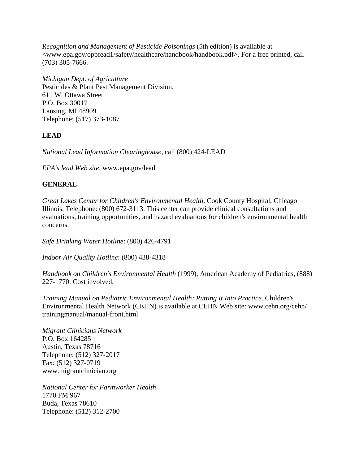*Recognition and Management of Pesticide Poisonings* (5th edition) is available at <www.epa.gov/oppfead1/safety/healthcare/handbook/handbook.pdf>. For a free printed, call (703) 305-7666.

*Michigan Dept. of Agriculture* Pesticides & Plant Pest Management Division, 611 W. Ottawa Street P.O. Box 30017 Lansing, MI 48909 Telephone: (517) 373-1087

## **LEAD**

*National Lead Information Clearinghouse*, call (800) 424-LEAD

*EPA's lead Web site*, www.epa.gov/lead

#### **GENERAL**

*Great Lakes Center for Children's Environmental Health*, Cook County Hospital, Chicago Illinois. Telephone: (800) 672-3113. This center can provide clinical consultations and evaluations, training opportunities, and hazard evaluations for children's environmental health concerns.

*Safe Drinking Water Hotline*: (800) 426-4791

*Indoor Air Quality Hotline*: (800) 438-4318

*Handbook on Children's Environmental Health* (1999), American Academy of Pediatrics, (888) 227-1770. Cost involved.

*Training Manual on Pediatric Environmental Health: Putting It Into Practice*. Children's Environmental Health Network (CEHN) is available at CEHN Web site: www.cehn.org/cehn/ trainingmanual/manual-front.html

*Migrant Clinicians Network* P.O. Box 164285 Austin, Texas 78716 Telephone: (512) 327-2017 Fax: (512) 327-0719 www.migrantclinician.org

*National Center for Farmworker Health* 1770 FM 967 Buda, Texas 78610 Telephone: (512) 312-2700